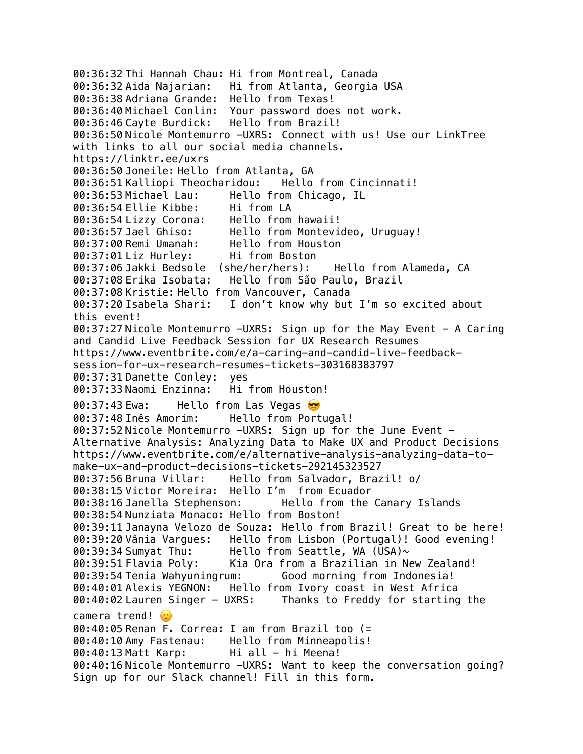00:36:32 Thi Hannah Chau: Hi from Montreal, Canada 00:36:32 Aida Najarian: Hi from Atlanta, Georgia USA 00:36:38 Adriana Grande: Hello from Texas! 00:36:40 Michael Conlin: Your password does not work. 00:36:46 Cayte Burdick: Hello from Brazil! 00:36:50 Nicole Montemurro -UXRS: Connect with us! Use our LinkTree with links to all our social media channels. https://linktr.ee/uxrs 00:36:50 Joneile: Hello from Atlanta, GA 00:36:51 Kalliopi Theocharidou: Hello from Cincinnati! 00:36:53 Michael Lau: Hello from Chicago, IL 00:36:54 Ellie Kibbe: Hi from LA 00:36:54 Lizzy Corona: Hello from hawaii! 00:36:57 Jael Ghiso: Hello from Montevideo, Uruguay! 00:37:00 Remi Umanah: Hello from Houston 00:37:01 Liz Hurley: Hi from Boston 00:37:06 Jakki Bedsole (she/her/hers): Hello from Alameda, CA 00:37:08 Erika Isobata: Hello from São Paulo, Brazil 00:37:08 Kristie: Hello from Vancouver, Canada 00:37:20 Isabela Shari: I don't know why but I'm so excited about this event! 00:37:27 Nicole Montemurro -UXRS: Sign up for the May Event - A Caring and Candid Live Feedback Session for UX Research Resumes https://www.eventbrite.com/e/a-caring-and-candid-live-feedbacksession-for-ux-research-resumes-tickets-303168383797 00:37:31 Danette Conley: yes 00:37:33 Naomi Enzinna: Hi from Houston! 00:37:43 Ewa: Hello from Las Vegas 00:37:48 Inês Amorim: Hello from Portugal! 00:37:52 Nicole Montemurro -UXRS: Sign up for the June Event - Alternative Analysis: Analyzing Data to Make UX and Product Decisions https://www.eventbrite.com/e/alternative-analysis-analyzing-data-tomake-ux-and-product-decisions-tickets-292145323527 00:37:56 Bruna Villar: Hello from Salvador, Brazil! o/ 00:38:15 Victor Moreira: Hello I'm from Ecuador 00:38:16 Janella Stephenson: Hello from the Canary Islands 00:38:54 Nunziata Monaco: Hello from Boston! 00:39:11 Janayna Velozo de Souza: Hello from Brazil! Great to be here! 00:39:20 Vânia Vargues: Hello from Lisbon (Portugal)! Good evening! 00:39:34 Sumyat Thu: Hello from Seattle, WA (USA) $\sim$ 00:39:51 Flavia Poly: Kia Ora from a Brazilian in New Zealand! 00:39:54 Tenia Wahyuningrum: Good morning from Indonesia! 00:40:01 Alexis YEGNON: Hello from Ivory coast in West Africa 00:40:02 Lauren Singer - UXRS: Thanks to Freddy for starting the camera trend! (  $\mathbf{r}$ 00:40:05 Renan F. Correa: I am from Brazil too (= 00:40:10 Amy Fastenau: Hello from Minneapolis! 00:40:13 Matt Karp: Hi all - hi Meena! 00:40:16 Nicole Montemurro -UXRS: Want to keep the conversation going? Sign up for our Slack channel! Fill in this form.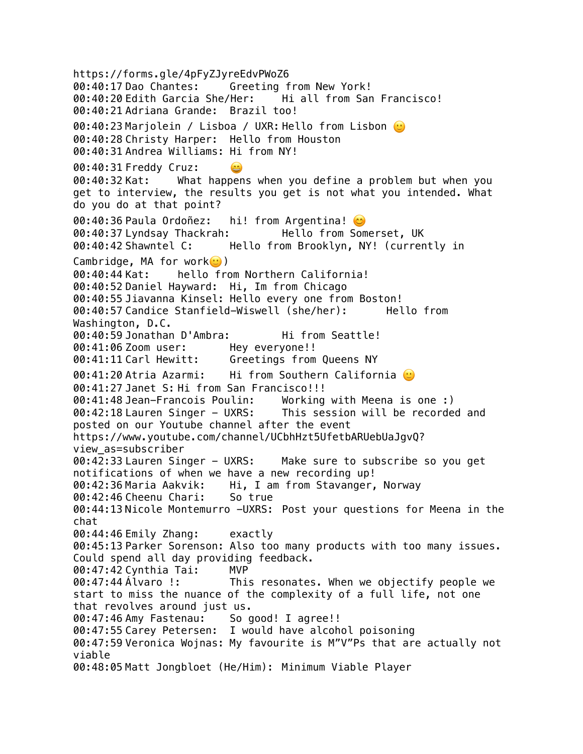https://forms.gle/4pFyZJyreEdvPWoZ6 00:40:17 Dao Chantes: Greeting from New York! 00:40:20 Edith Garcia She/Her: Hi all from San Francisco! 00:40:21 Adriana Grande: Brazil too! 00:40:23 Marjolein / Lisboa / UXR: Hello from Lisbon 0 00:40:28 Christy Harper: Hello from Houston 00:40:31 Andrea Williams: Hi from NY! 00:40:31 Freddy Cruz: 00:40:32 Kat: What happens when you define a problem but when you get to interview, the results you get is not what you intended. What do you do at that point? 00:40:36 Paula Ordoñez: hi! from Argentina! 00:40:37 Lyndsay Thackrah: Hello from Somerset, UK 00:40:42 Shawntel C: Hello from Brooklyn, NY! (currently in Cambridge, MA for work $\odot$ ) 00:40:44 Kat: hello from Northern California! 00:40:52 Daniel Hayward: Hi, Im from Chicago 00:40:55 Jiavanna Kinsel: Hello every one from Boston! 00:40:57 Candice Stanfield-Wiswell (she/her): Hello from Washington, D.C. 00:40:59 Jonathan D'Ambra: Hi from Seattle! 00:41:06 Zoom user: Hey everyone!! 00:41:11 Carl Hewitt: Greetings from Queens NY 00:41:20 Atria Azarmi: Hi from Southern California  $\circ$ 00:41:27 Janet S: Hi from San Francisco!!! 00:41:48 Jean-Francois Poulin: Working with Meena is one :) 00:42:18 Lauren Singer - UXRS: This session will be recorded and posted on our Youtube channel after the event https://www.youtube.com/channel/UCbhHzt5UfetbARUebUaJgvQ? view\_as=subscriber 00:42:33 Lauren Singer - UXRS: Make sure to subscribe so you get notifications of when we have a new recording up! 00:42:36 Maria Aakvik: Hi, I am from Stavanger, Norway 00:42:46 Cheenu Chari: So true 00:44:13 Nicole Montemurro -UXRS: Post your questions for Meena in the chat 00:44:46 Emily Zhang: exactly 00:45:13 Parker Sorenson: Also too many products with too many issues. Could spend all day providing feedback. 00:47:42 Cynthia Tai: MVP 00:47:44 Álvaro !: This resonates. When we objectify people we start to miss the nuance of the complexity of a full life, not one that revolves around just us. 00:47:46 Amy Fastenau: So good! I agree!! 00:47:55 Carey Petersen: I would have alcohol poisoning 00:47:59 Veronica Wojnas: My favourite is M"V"Ps that are actually not viable 00:48:05 Matt Jongbloet (He/Him): Minimum Viable Player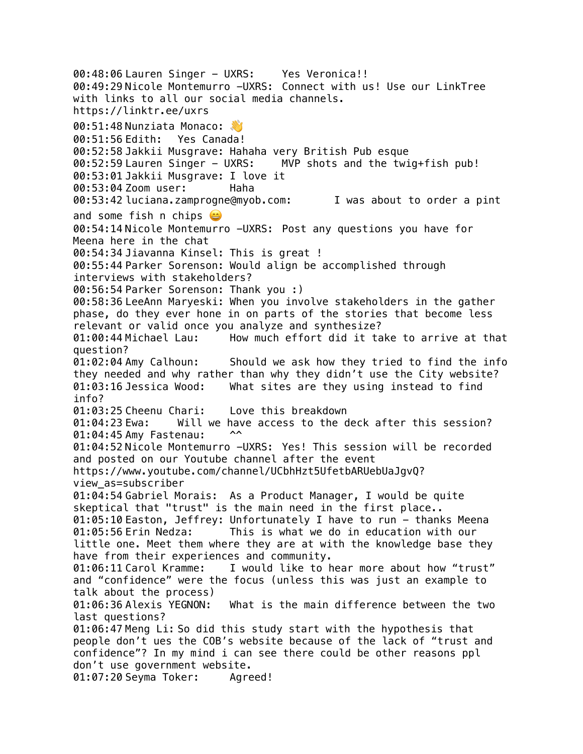00:48:06 Lauren Singer - UXRS: Yes Veronica!! 00:49:29 Nicole Montemurro -UXRS: Connect with us! Use our LinkTree with links to all our social media channels. https://linktr.ee/uxrs 00:51:48 Nunziata Monaco: 00:51:56 Edith: Yes Canada! 00:52:58 Jakkii Musgrave: Hahaha very British Pub esque 00:52:59 Lauren Singer - UXRS: MVP shots and the twig+fish pub! 00:53:01 Jakkii Musgrave: I love it 00:53:04 Zoom user: Haha 00:53:42 luciana.zamprogne@myob.com: I was about to order a pint and some fish n chips  $\bigcirc$ 00:54:14 Nicole Montemurro -UXRS: Post any questions you have for Meena here in the chat 00:54:34 Jiavanna Kinsel: This is great ! 00:55:44 Parker Sorenson: Would align be accomplished through interviews with stakeholders? 00:56:54 Parker Sorenson: Thank you :) 00:58:36 LeeAnn Maryeski: When you involve stakeholders in the gather phase, do they ever hone in on parts of the stories that become less relevant or valid once you analyze and synthesize? 01:00:44 Michael Lau: How much effort did it take to arrive at that question? 01:02:04 Amy Calhoun: Should we ask how they tried to find the info they needed and why rather than why they didn't use the City website? 01:03:16 Jessica Wood: What sites are they using instead to find info? 01:03:25 Cheenu Chari: Love this breakdown 01:04:23 Ewa: Will we have access to the deck after this session?<br>01:04:45 Amy Fastenau: 00 01:04:45 Amy Fastenau: ^^ 01:04:52 Nicole Montemurro -UXRS: Yes! This session will be recorded and posted on our Youtube channel after the event https://www.youtube.com/channel/UCbhHzt5UfetbARUebUaJgvQ? view\_as=subscriber 01:04:54 Gabriel Morais: As a Product Manager, I would be quite skeptical that "trust" is the main need in the first place.. 01:05:10 Easton, Jeffrey: Unfortunately I have to run - thanks Meena 01:05:56 Erin Nedza: This is what we do in education with our little one. Meet them where they are at with the knowledge base they have from their experiences and community. 01:06:11 Carol Kramme: I would like to hear more about how "trust" and "confidence" were the focus (unless this was just an example to talk about the process) 01:06:36 Alexis YEGNON: What is the main difference between the two last questions? 01:06:47 Meng Li: So did this study start with the hypothesis that people don't ues the COB's website because of the lack of "trust and confidence"? In my mind i can see there could be other reasons ppl don't use government website. 01:07:20 Seyma Toker: Agreed!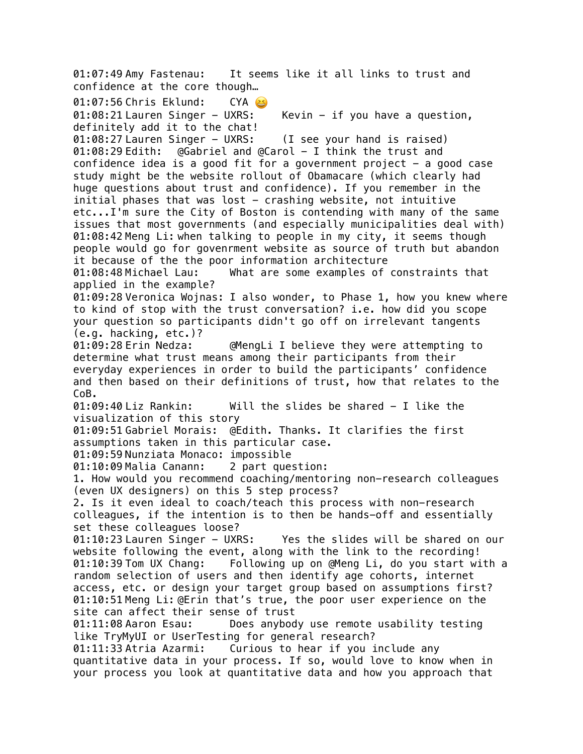01:07:49 Amy Fastenau: It seems like it all links to trust and confidence at the core though… 01:07:56 Chris Eklund: CYA 01:08:21 Lauren Singer - UXRS: Kevin - if you have a question, definitely add it to the chat! 01:08:27 Lauren Singer - UXRS: (I see your hand is raised) 01:08:29 Edith: @Gabriel and @Carol - I think the trust and confidence idea is a good fit for a government project  $-$  a good case study might be the website rollout of Obamacare (which clearly had huge questions about trust and confidence). If you remember in the initial phases that was lost  $-$  crashing website, not intuitive etc...I'm sure the City of Boston is contending with many of the same issues that most governments (and especially municipalities deal with) 01:08:42 Meng Li: when talking to people in my city, it seems though people would go for govenrment website as source of truth but abandon it because of the the poor information architecture 01:08:48 Michael Lau: What are some examples of constraints that applied in the example? 01:09:28 Veronica Wojnas: I also wonder, to Phase 1, how you knew where to kind of stop with the trust conversation? i.e. how did you scope your question so participants didn't go off on irrelevant tangents (e.g. hacking, etc.)? 01:09:28 Erin Nedza: @MengLi I believe they were attempting to determine what trust means among their participants from their everyday experiences in order to build the participants' confidence and then based on their definitions of trust, how that relates to the CoB. 01:09:40 Liz Rankin: Will the slides be shared - I like the visualization of this story 01:09:51 Gabriel Morais: @Edith. Thanks. It clarifies the first assumptions taken in this particular case. 01:09:59 Nunziata Monaco: impossible 01:10:09 Malia Canann: 2 part question: 1. How would you recommend coaching/mentoring non-research colleagues (even UX designers) on this 5 step process? 2. Is it even ideal to coach/teach this process with non-research colleagues, if the intention is to then be hands-off and essentially set these colleagues loose? 01:10:23 Lauren Singer - UXRS: Yes the slides will be shared on our website following the event, along with the link to the recording! 01:10:39 Tom UX Chang: Following up on @Meng Li, do you start with a random selection of users and then identify age cohorts, internet access, etc. or design your target group based on assumptions first? 01:10:51 Meng Li: @Erin that's true, the poor user experience on the site can affect their sense of trust 01:11:08 Aaron Esau: Does anybody use remote usability testing like TryMyUI or UserTesting for general research? 01:11:33 Atria Azarmi: Curious to hear if you include any quantitative data in your process. If so, would love to know when in your process you look at quantitative data and how you approach that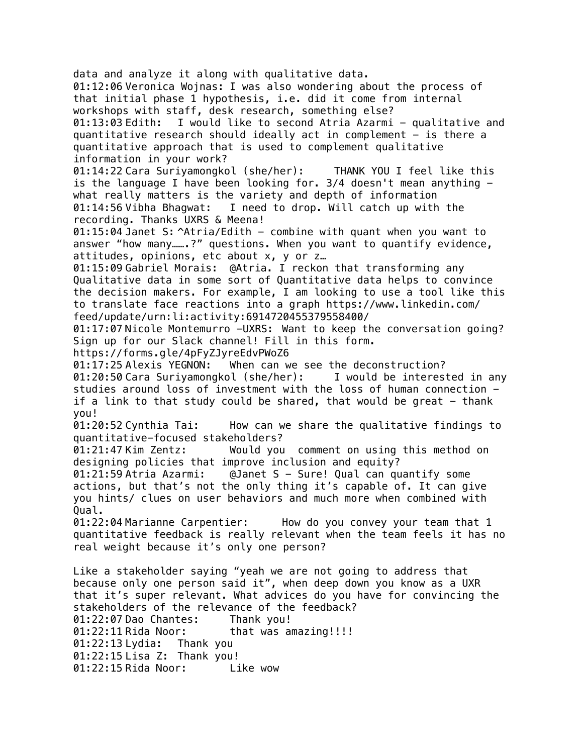data and analyze it along with qualitative data. 01:12:06 Veronica Wojnas: I was also wondering about the process of that initial phase 1 hypothesis, i.e. did it come from internal workshops with staff, desk research, something else? 01:13:03 Edith: I would like to second Atria Azarmi - qualitative and quantitative research should ideally act in complement - is there a quantitative approach that is used to complement qualitative information in your work? 01:14:22 Cara Suriyamongkol (she/her): THANK YOU I feel like this is the language I have been looking for.  $3/4$  doesn't mean anything  $$ what really matters is the variety and depth of information 01:14:56 Vibha Bhagwat: I need to drop. Will catch up with the recording. Thanks UXRS & Meena! 01:15:04 Janet S: ^Atria/Edith - combine with quant when you want to answer "how many…….?" questions. When you want to quantify evidence, attitudes, opinions, etc about x, y or z… 01:15:09 Gabriel Morais: @Atria. I reckon that transforming any Qualitative data in some sort of Quantitative data helps to convince the decision makers. For example, I am looking to use a tool like this to translate face reactions into a graph https://www.linkedin.com/ feed/update/urn:li:activity:6914720455379558400/ 01:17:07 Nicole Montemurro -UXRS: Want to keep the conversation going? Sign up for our Slack channel! Fill in this form. https://forms.gle/4pFyZJyreEdvPWoZ6 01:17:25 Alexis YEGNON: When can we see the deconstruction? 01:20:50 Cara Suriyamongkol (she/her): I would be interested in any studies around loss of investment with the loss of human connection if a link to that study could be shared, that would be great  $-$  thank you! 01:20:52 Cynthia Tai: How can we share the qualitative findings to quantitative-focused stakeholders? 01:21:47 Kim Zentz: Would you comment on using this method on designing policies that improve inclusion and equity? 01:21:59 Atria Azarmi: @Janet S - Sure! Qual can quantify some actions, but that's not the only thing it's capable of. It can give you hints/ clues on user behaviors and much more when combined with Qual. 01:22:04 Marianne Carpentier: How do you convey your team that 1 quantitative feedback is really relevant when the team feels it has no real weight because it's only one person? Like a stakeholder saying "yeah we are not going to address that because only one person said it", when deep down you know as a UXR that it's super relevant. What advices do you have for convincing the stakeholders of the relevance of the feedback? 01:22:07 Dao Chantes: Thank you! 01:22:11 Rida Noor: that was amazing!!!! 01:22:13 Lydia: Thank you 01:22:15 Lisa Z: Thank you! 01:22:15 Rida Noor: Like wow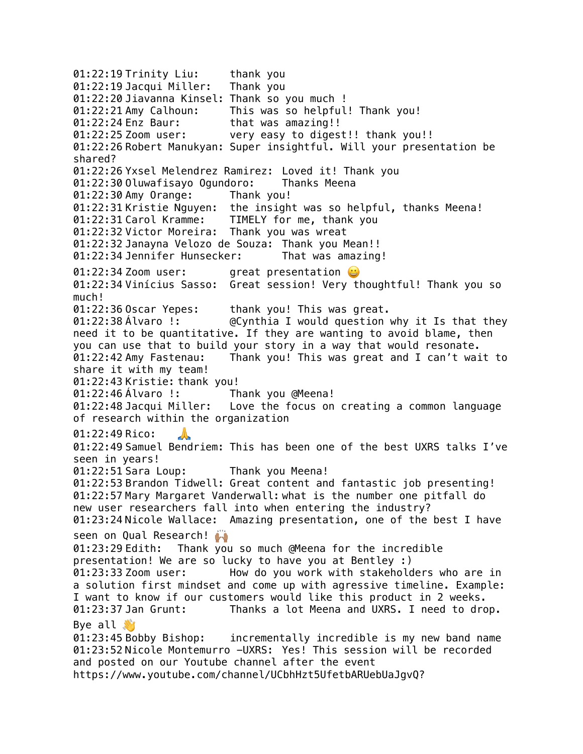01:22:19 Trinity Liu: thank you 01:22:19 Jacqui Miller: Thank you 01:22:20 Jiavanna Kinsel: Thank so you much ! 01:22:21 Amy Calhoun: This was so helpful! Thank you! 01:22:24 Enz Baur: that was amazing!! 01:22:25 Zoom user: very easy to digest!! thank you!! 01:22:26 Robert Manukyan: Super insightful. Will your presentation be shared? 01:22:26 Yxsel Melendrez Ramirez: Loved it! Thank you 01:22:30 Oluwafisayo Ogundoro: Thanks Meena 01:22:30 Amy Orange: Thank you! 01:22:31 Kristie Nguyen: the insight was so helpful, thanks Meena! 01:22:31 Carol Kramme: TIMELY for me, thank you 01:22:32 Victor Moreira: Thank you was wreat 01:22:32 Janayna Velozo de Souza: Thank you Mean!! 01:22:34 Jennifer Hunsecker: That was amazing! 01:22:34 Zoom user: great presentation  $\ddot{\bm{\omega}}$ 01:22:34 Vinícius Sasso: Great session! Very thoughtful! Thank you so much! 01:22:36 Oscar Yepes: thank you! This was great. 01:22:38 Álvaro !: @Cynthia I would question why it Is that they need it to be quantitative. If they are wanting to avoid blame, then you can use that to build your story in a way that would resonate. 01:22:42 Amy Fastenau: Thank you! This was great and I can't wait to share it with my team! 01:22:43 Kristie: thank you! 01:22:46 Álvaro !: Thank you @Meena! 01:22:48 Jacqui Miller: Love the focus on creating a common language of research within the organization 01:22:49 Rico: 01:22:49 Samuel Bendriem: This has been one of the best UXRS talks I've seen in years! 01:22:51 Sara Loup: Thank you Meena! 01:22:53 Brandon Tidwell: Great content and fantastic job presenting! 01:22:57 Mary Margaret Vanderwall: what is the number one pitfall do new user researchers fall into when entering the industry? 01:23:24 Nicole Wallace: Amazing presentation, one of the best I have seen on Qual Research! 01:23:29 Edith: Thank you so much @Meena for the incredible presentation! We are so lucky to have you at Bentley :) 01:23:33 Zoom user: How do you work with stakeholders who are in a solution first mindset and come up with agressive timeline. Example: I want to know if our customers would like this product in 2 weeks. 01:23:37 Jan Grunt: Thanks a lot Meena and UXRS. I need to drop. Bye all  $\mathcal{S}$ 01:23:45 Bobby Bishop: incrementally incredible is my new band name 01:23:52 Nicole Montemurro -UXRS: Yes! This session will be recorded and posted on our Youtube channel after the event https://www.youtube.com/channel/UCbhHzt5UfetbARUebUaJgvQ?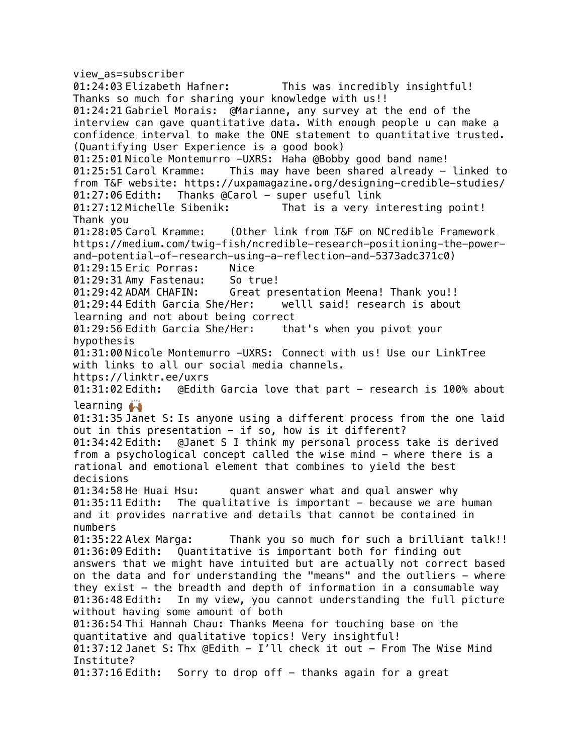view\_as=subscriber 01:24:03 Elizabeth Hafner: This was incredibly insightful! Thanks so much for sharing your knowledge with us!! 01:24:21 Gabriel Morais: @Marianne, any survey at the end of the interview can gave quantitative data. With enough people u can make a confidence interval to make the ONE statement to quantitative trusted. (Quantifying User Experience is a good book) 01:25:01 Nicole Montemurro -UXRS: Haha @Bobby good band name! 01:25:51 Carol Kramme: This may have been shared already - linked to from T&F website: https://uxpamagazine.org/designing-credible-studies/ 01:27:06 Edith: Thanks @Carol - super useful link 01:27:12 Michelle Sibenik: That is a very interesting point! Thank you 01:28:05 Carol Kramme: (Other link from T&F on NCredible Framework https://medium.com/twig-fish/ncredible-research-positioning-the-powerand-potential-of-research-using-a-reflection-and-5373adc371c0) 01:29:15 Eric Porras: Nice 01:29:31 Amy Fastenau: So true! 01:29:42 ADAM CHAFIN: Great presentation Meena! Thank you!! 01:29:44 Edith Garcia She/Her: welll said! research is about learning and not about being correct 01:29:56 Edith Garcia She/Her: that's when you pivot your hypothesis 01:31:00 Nicole Montemurro -UXRS: Connect with us! Use our LinkTree with links to all our social media channels. https://linktr.ee/uxrs<br>01:31:02 Edith: @Edit 0Edith Garcia love that part - research is 100% about learning *L* 01:31:35 Janet S: Is anyone using a different process from the one laid out in this presentation - if so, how is it different? 01:34:42 Edith: @Janet S I think my personal process take is derived from a psychological concept called the wise mind - where there is a rational and emotional element that combines to yield the best decisions 01:34:58 He Huai Hsu: quant answer what and qual answer why  $01:35:11$  Edith: The qualitative is important  $-$  because we are human and it provides narrative and details that cannot be contained in numbers 01:35:22 Alex Marga: Thank you so much for such a brilliant talk!! 01:36:09 Edith: Quantitative is important both for finding out answers that we might have intuited but are actually not correct based on the data and for understanding the "means" and the outliers - where they exist  $-$  the breadth and depth of information in a consumable way 01:36:48 Edith: In my view, you cannot understanding the full picture without having some amount of both 01:36:54 Thi Hannah Chau: Thanks Meena for touching base on the quantitative and qualitative topics! Very insightful! 01:37:12 Janet S: Thx @Edith - I'll check it out - From The Wise Mind Institute?  $01:37:16$  Edith: Sorry to drop off  $-$  thanks again for a great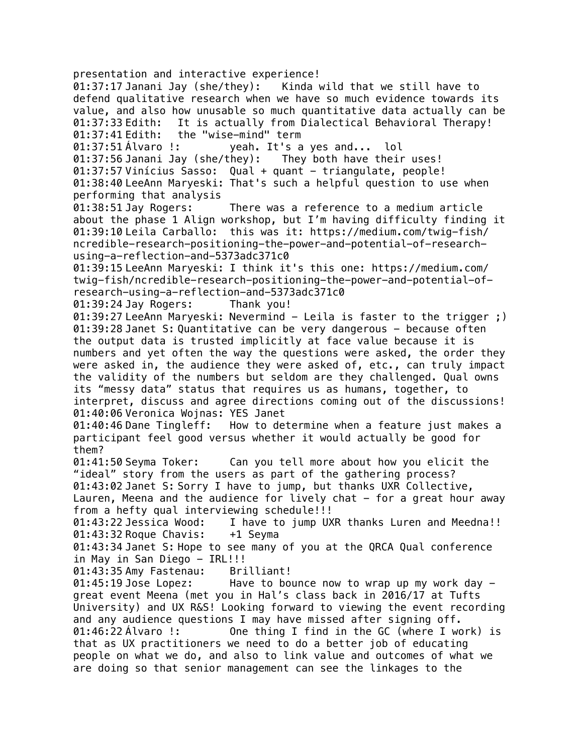presentation and interactive experience! 01:37:17 Janani Jay (she/they): Kinda wild that we still have to defend qualitative research when we have so much evidence towards its value, and also how unusable so much quantitative data actually can be 01:37:33 Edith: It is actually from Dialectical Behavioral Therapy! 01:37:41 Edith: the "wise-mind" term 01:37:51 Álvaro !: yeah. It's a yes and... lol 01:37:56 Janani Jay (she/they): They both have their uses! 01:37:57 Vinícius Sasso: Qual + quant - triangulate, people! 01:38:40 LeeAnn Maryeski: That's such a helpful question to use when performing that analysis 01:38:51 Jay Rogers: There was a reference to a medium article about the phase 1 Align workshop, but I'm having difficulty finding it 01:39:10 Leila Carballo: this was it: https://medium.com/twig-fish/ ncredible-research-positioning-the-power-and-potential-of-researchusing-a-reflection-and-5373adc371c0 01:39:15 LeeAnn Maryeski: I think it's this one: https://medium.com/ twig-fish/ncredible-research-positioning-the-power-and-potential-ofresearch-using-a-reflection-and-5373adc371c0 01:39:24 Jay Rogers: Thank you! 01:39:27 LeeAnn Maryeski: Nevermind - Leila is faster to the trigger;) 01:39:28 Janet S: Quantitative can be very dangerous - because often the output data is trusted implicitly at face value because it is numbers and yet often the way the questions were asked, the order they were asked in, the audience they were asked of, etc., can truly impact the validity of the numbers but seldom are they challenged. Qual owns its "messy data" status that requires us as humans, together, to interpret, discuss and agree directions coming out of the discussions! 01:40:06 Veronica Wojnas: YES Janet 01:40:46 Dane Tingleff: How to determine when a feature just makes a participant feel good versus whether it would actually be good for them? 01:41:50 Seyma Toker: Can you tell more about how you elicit the "ideal" story from the users as part of the gathering process? 01:43:02 Janet S: Sorry I have to jump, but thanks UXR Collective, Lauren, Meena and the audience for lively chat  $-$  for a great hour away from a hefty qual interviewing schedule!!! 01:43:22 Jessica Wood: I have to jump UXR thanks Luren and Meedna!! 01:43:32 Roque Chavis: +1 Seyma 01:43:34 Janet S: Hope to see many of you at the QRCA Qual conference in May in San Diego - IRL!!! 01:43:35 Amy Fastenau: Brilliant! 01:45:19 Jose Lopez: Have to bounce now to wrap up my work day great event Meena (met you in Hal's class back in 2016/17 at Tufts University) and UX R&S! Looking forward to viewing the event recording and any audience questions I may have missed after signing off. 01:46:22 Álvaro !: One thing I find in the GC (where I work) is that as UX practitioners we need to do a better job of educating people on what we do, and also to link value and outcomes of what we are doing so that senior management can see the linkages to the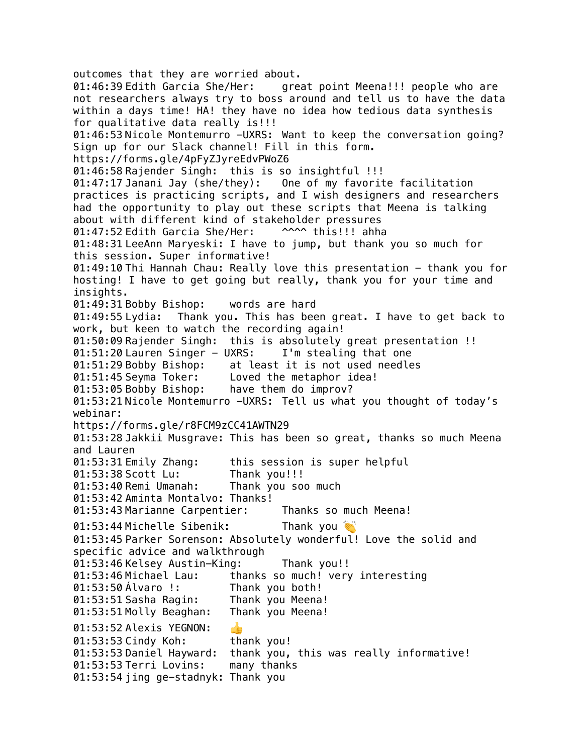outcomes that they are worried about. 01:46:39 Edith Garcia She/Her: great point Meena!!! people who are not researchers always try to boss around and tell us to have the data within a days time! HA! they have no idea how tedious data synthesis for qualitative data really is!!! 01:46:53 Nicole Montemurro -UXRS: Want to keep the conversation going? Sign up for our Slack channel! Fill in this form. https://forms.gle/4pFyZJyreEdvPWoZ6 01:46:58 Rajender Singh: this is so insightful !!! 01:47:17 Janani Jay (she/they): One of my favorite facilitation practices is practicing scripts, and I wish designers and researchers had the opportunity to play out these scripts that Meena is talking about with different kind of stakeholder pressures 01:47:52 Edith Garcia She/Her: ^^^^ this!!! ahha 01:48:31 LeeAnn Maryeski: I have to jump, but thank you so much for this session. Super informative! 01:49:10 Thi Hannah Chau: Really love this presentation - thank you for hosting! I have to get going but really, thank you for your time and insights. 01:49:31 Bobby Bishop: words are hard 01:49:55 Lydia: Thank you. This has been great. I have to get back to work, but keen to watch the recording again! 01:50:09 Rajender Singh: this is absolutely great presentation !! 01:51:20 Lauren Singer - UXRS: I'm stealing that one 01:51:29 Bobby Bishop: at least it is not used needles<br>01:51:45 Sevma Toker: Loved the metaphor idea! Loved the metaphor idea! 01:53:05 Bobby Bishop: have them do improv? 01:53:21 Nicole Montemurro -UXRS: Tell us what you thought of today's webinar: https://forms.gle/r8FCM9zCC41AWTN29 01:53:28 Jakkii Musgrave: This has been so great, thanks so much Meena and Lauren 01:53:31 Emily Zhang: this session is super helpful 01:53:38 Scott Lu: Thank you!!! 01:53:40 Remi Umanah: Thank you soo much 01:53:42 Aminta Montalvo: Thanks! 01:53:43 Marianne Carpentier: Thanks so much Meena! 01:53:44 Michelle Sibenik: Thank you 01:53:45 Parker Sorenson: Absolutely wonderful! Love the solid and specific advice and walkthrough 01:53:46 Kelsey Austin-King: Thank you!! 01:53:46 Michael Lau: thanks so much! very interesting 01:53:50 Álvaro !: Thank you both! 01:53:51 Sasha Ragin: Thank you Meena! 01:53:51 Molly Beaghan: Thank you Meena! 01:53:52 Alexis YEGNON:  $\frac{1}{\sqrt{2}}$ 01:53:53 Cindy Koh: thank you! 01:53:53 Daniel Hayward: thank you, this was really informative! 01:53:53 Terri Lovins: many thanks 01:53:54 jing ge-stadnyk: Thank you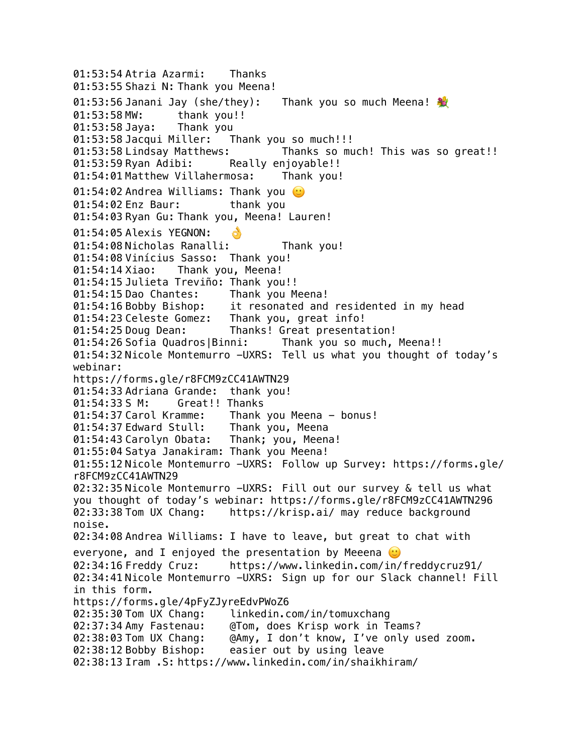01:53:54 Atria Azarmi: Thanks 01:53:55 Shazi N: Thank you Meena! 01:53:56 Janani Jay (she/they): Thank you so much Meena! 01:53:58 MW: thank you!! 01:53:58 Jaya: Thank you<br>01:53:58 Jacqui Miller: Thank you so much!!! 01:53:58 Jacqui Miller: 01:53:58 Lindsay Matthews: Thanks so much! This was so great!! 01:53:59 Ryan Adibi: Really enjoyable!! 01:54:01 Matthew Villahermosa: Thank you! 01:54:02 Andrea Williams: Thank you  $\heartsuit$ 01:54:02 Enz Baur: thank you 01:54:03 Ryan Gu: Thank you, Meena! Lauren! 01:54:05 Alexis YEGNON: 01:54:08 Nicholas Ranalli: Thank you! 01:54:08 Vinícius Sasso: Thank you! 01:54:14 Xiao: Thank you, Meena! 01:54:15 Julieta Treviño: Thank you!! 01:54:15 Dao Chantes: Thank you Meena! 01:54:16 Bobby Bishop: it resonated and residented in my head 01:54:23 Celeste Gomez: Thank you, great info! 01:54:25 Doug Dean: Thanks! Great presentation! 01:54:26 Sofia Quadros|Binni: Thank you so much, Meena!! 01:54:32 Nicole Montemurro -UXRS: Tell us what you thought of today's webinar: https://forms.gle/r8FCM9zCC41AWTN29 01:54:33 Adriana Grande: thank you! 01:54:33 S M: Great!! Thanks 01:54:37 Carol Kramme: Thank you Meena - bonus! 01:54:37 Edward Stull: Thank you, Meena 01:54:43 Carolyn Obata: Thank; you, Meena! 01:55:04 Satya Janakiram: Thank you Meena! 01:55:12 Nicole Montemurro -UXRS: Follow up Survey: https://forms.gle/ r8FCM9zCC41AWTN29 02:32:35 Nicole Montemurro -UXRS: Fill out our survey & tell us what you thought of today's webinar: https://forms.gle/r8FCM9zCC41AWTN296 02:33:38 Tom UX Chang: https://krisp.ai/ may reduce background noise. 02:34:08 Andrea Williams: I have to leave, but great to chat with everyone, and I enjoyed the presentation by Meeena  $\odot$ 02:34:16 Freddy Cruz: https://www.linkedin.com/in/freddycruz91/ 02:34:41 Nicole Montemurro -UXRS: Sign up for our Slack channel! Fill in this form. https://forms.gle/4pFyZJyreEdvPWoZ6 02:35:30 Tom UX Chang: linkedin.com/in/tomuxchang 02:37:34 Amy Fastenau: @Tom, does Krisp work in Teams? 02:38:03 Tom UX Chang: @Amy, I don't know, I've only used zoom. 02:38:12 Bobby Bishop: easier out by using leave 02:38:13 Iram .S: https://www.linkedin.com/in/shaikhiram/